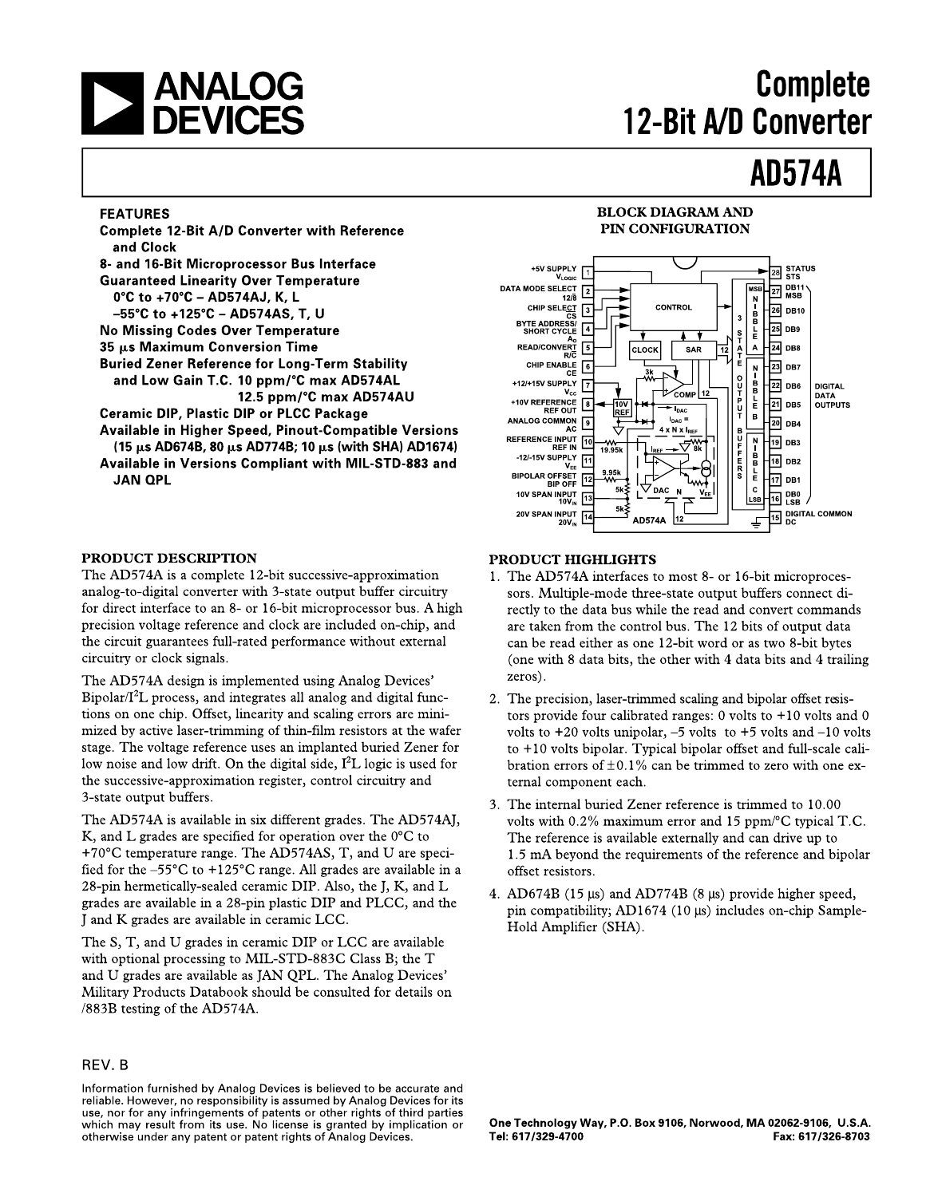

# **Complete** 12-Bit A/D Converter

# **AD574A**

### **FEATURES**

**Complete 12-Bit A/D Converter with Reference** and Clock 8- and 16-Bit Microprocessor Bus Interface **Guaranteed Linearity Over Temperature** 0°C to +70°C - AD574AJ, K, L -55°C to +125°C - AD574AS, T, U **No Missing Codes Over Temperature** 35 µs Maximum Conversion Time **Buried Zener Reference for Long-Term Stability** and Low Gain T.C. 10 ppm/°C max AD574AL 12.5 ppm/°C max AD574AU **Ceramic DIP, Plastic DIP or PLCC Package** Available in Higher Speed, Pinout-Compatible Versions (15 µs AD674B, 80 µs AD774B; 10 µs (with SHA) AD1674) Available in Versions Compliant with MIL-STD-883 and

### PRODUCT DESCRIPTION

**JAN QPL** 

The AD574A is a complete 12-bit successive-approximation analog-to-digital converter with 3-state output buffer circuitry for direct interface to an 8- or 16-bit microprocessor bus. A high precision voltage reference and clock are included on-chip, and the circuit guarantees full-rated performance without external circuitry or clock signals.

The AD574A design is implemented using Analog Devices' Bipolar/I<sup>2</sup>L process, and integrates all analog and digital functions on one chip. Offset, linearity and scaling errors are minimized by active laser-trimming of thin-film resistors at the wafer stage. The voltage reference uses an implanted buried Zener for low noise and low drift. On the digital side,  $I^2L$  logic is used for the successive-approximation register, control circuitry and 3-state output buffers.

The AD574A is available in six different grades. The AD574AJ, K, and L grades are specified for operation over the  $0^{\circ}$ C to +70 $\degree$ C temperature range. The AD574AS, T, and U are specified for the  $-55^{\circ}$ C to  $+125^{\circ}$ C range. All grades are available in a 28-pin hermetically-sealed ceramic DIP. Also, the J, K, and L grades are available in a 28-pin plastic DIP and PLCC, and the J and K grades are available in ceramic LCC.

The S, T, and U grades in ceramic DIP or LCC are available with optional processing to MIL-STD-883C Class B; the T and U grades are available as JAN QPL. The Analog Devices' Military Products Databook should be consulted for details on /883B testing of the AD574A.

### REV. B

Information furnished by Analog Devices is believed to be accurate and reliable. However, no responsibility is assumed by Analog Devices for its use, nor for any infringements of patents or other rights of third parties which may result from its use. No license is granted by implication or otherwise under any patent or patent rights of Analog Devices.

### **BLOCK DIAGRAM AND** PIN CONFIGURATION



### **PRODUCT HIGHLIGHTS**

- 1. The AD574A interfaces to most 8- or 16-bit microprocessors. Multiple-mode three-state output buffers connect directly to the data bus while the read and convert commands are taken from the control bus. The 12 bits of output data can be read either as one 12-bit word or as two 8-bit bytes (one with 8 data bits, the other with 4 data bits and 4 trailing zeros).
- 2. The precision, laser-trimmed scaling and bipolar offset resistors provide four calibrated ranges:  $0$  volts to  $+10$  volts and  $0$ volts to  $+20$  volts unipolar,  $-5$  volts to  $+5$  volts and  $-10$  volts to +10 volts bipolar. Typical bipolar offset and full-scale calibration errors of  $\pm 0.1\%$  can be trimmed to zero with one external component each.
- 3. The internal buried Zener reference is trimmed to 10.00 volts with 0.2% maximum error and 15 ppm/ $\rm ^{\circ}C$  typical T.C. The reference is available externally and can drive up to 1.5 mA beyond the requirements of the reference and bipolar offset resistors.
- 4. AD674B (15 µs) and AD774B (8 µs) provide higher speed, pin compatibility; AD1674 (10 µs) includes on-chip Sample-Hold Amplifier (SHA).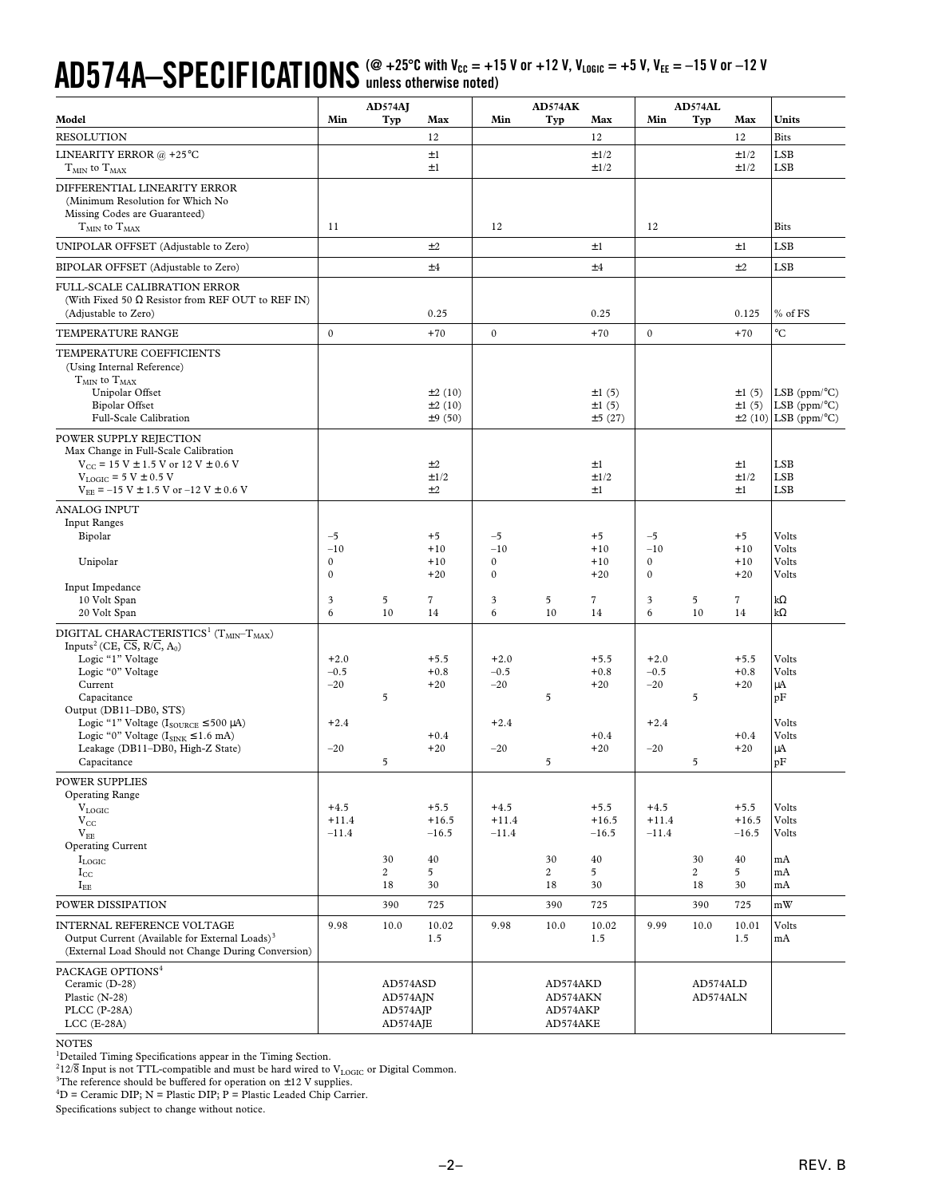### $\mathbf{A}\mathbf{D}574\mathbf{A}-\mathbf{S}\mathbf{PEC}$  **|FICATIONS** (@ +25°C with V<sub>cc</sub> = +15 V or +12 V, V<sub>LOGIC</sub> = +5 V, V<sub>EE</sub> = -15 V or -12 V **unless otherwise noted)**

|                                                                                                                                                                                                                                          |                                  | AD574AI                                         |                                               |                                 | AD574AK                                      |                                               |                              | AD574AL                    |                                               |                                                                       |
|------------------------------------------------------------------------------------------------------------------------------------------------------------------------------------------------------------------------------------------|----------------------------------|-------------------------------------------------|-----------------------------------------------|---------------------------------|----------------------------------------------|-----------------------------------------------|------------------------------|----------------------------|-----------------------------------------------|-----------------------------------------------------------------------|
| Model                                                                                                                                                                                                                                    | Min                              | Typ                                             | Max                                           | Min                             | Typ                                          | Max                                           | Min                          | Typ                        | Max                                           | Units                                                                 |
| <b>RESOLUTION</b>                                                                                                                                                                                                                        |                                  |                                                 | 12                                            |                                 |                                              | 12                                            |                              |                            | 12                                            | <b>Bits</b>                                                           |
| LINEARITY ERROR @ +25°C<br>$T_{MIN}$ to $T_{MAX}$                                                                                                                                                                                        |                                  |                                                 | ±1<br>$\pm 1$                                 |                                 |                                              | ±1/2<br>±1/2                                  |                              |                            | $\pm 1/2$<br>$\pm 1/2$                        | <b>LSB</b><br>LSB                                                     |
| DIFFERENTIAL LINEARITY ERROR<br>(Minimum Resolution for Which No<br>Missing Codes are Guaranteed)<br>$T_{MIN}$ to $T_{MAX}$                                                                                                              | 11                               |                                                 |                                               | 12                              |                                              |                                               | 12                           |                            |                                               | <b>Bits</b>                                                           |
| UNIPOLAR OFFSET (Adjustable to Zero)                                                                                                                                                                                                     |                                  |                                                 | ±2                                            |                                 |                                              | $\pm 1$                                       |                              |                            | $\pm 1$                                       | <b>LSB</b>                                                            |
| BIPOLAR OFFSET (Adjustable to Zero)                                                                                                                                                                                                      |                                  |                                                 | ±4                                            |                                 |                                              | ±4                                            |                              |                            | ±2                                            | LSB                                                                   |
| FULL-SCALE CALIBRATION ERROR<br>(With Fixed 50 $\Omega$ Resistor from REF OUT to REF IN)<br>(Adjustable to Zero)                                                                                                                         |                                  |                                                 | 0.25                                          |                                 |                                              | 0.25                                          |                              |                            | 0.125                                         | % of FS                                                               |
| TEMPERATURE RANGE                                                                                                                                                                                                                        | $\boldsymbol{0}$                 |                                                 | $+70$                                         | $\mathbf 0$                     |                                              | $+70$                                         | $\mathbf 0$                  |                            | $+70$                                         | $^{\circ}C$                                                           |
| TEMPERATURE COEFFICIENTS<br>(Using Internal Reference)<br>$T_{MIN}$ to $T_{MAX}$<br>Unipolar Offset<br><b>Bipolar Offset</b>                                                                                                             |                                  |                                                 | ±2(10)<br>±2(10)                              |                                 |                                              | $\pm 1$ (5)<br>$\pm 1$ (5)                    |                              |                            | $\pm 1$ (5)<br>$\pm 1$ (5)                    | LSB $(ppm/°C)$<br>LSB $(ppm/°C)$                                      |
| Full-Scale Calibration<br>POWER SUPPLY REJECTION<br>Max Change in Full-Scale Calibration<br>$V_{\text{CC}}$ = 15 V $\pm$ 1.5 V or 12 V $\pm$ 0.6 V<br>$V_{LOGIC}$ = 5 V $\pm$ 0.5 V<br>$V_{EF}$ = -15 V $\pm$ 1.5 V or -12 V $\pm$ 0.6 V |                                  |                                                 | ±9(50)<br>±2<br>±1/2<br>±2                    |                                 |                                              | ±5(27)<br>$\pm 1$<br>±1/2<br>$\pm 1$          |                              |                            | ±2(10)<br>$\pm 1$<br>±1/2<br>$\pm 1$          | LSB ( $ppm$ <sup>o</sup> C)<br><b>LSB</b><br><b>LSB</b><br><b>LSB</b> |
| <b>ANALOG INPUT</b>                                                                                                                                                                                                                      |                                  |                                                 |                                               |                                 |                                              |                                               |                              |                            |                                               |                                                                       |
| <b>Input Ranges</b><br>Bipolar                                                                                                                                                                                                           | $-5$<br>$-10$                    |                                                 | $+5$<br>$+10$                                 | $-5$<br>$-10$                   |                                              | $+5$<br>$+10$                                 | $-5$<br>$-10$                |                            | $+5$<br>$+10$                                 | Volts<br>Volts                                                        |
| Unipolar                                                                                                                                                                                                                                 | $\boldsymbol{0}$<br>$\mathbf{0}$ |                                                 | $+10$<br>$+20$                                | $\boldsymbol{0}$<br>$\mathbf 0$ |                                              | $+10$<br>$+20$                                | $\mathbf{0}$<br>$\mathbf{0}$ |                            | $+10$<br>$+20$                                | Volts<br>Volts                                                        |
| Input Impedance<br>10 Volt Span<br>20 Volt Span                                                                                                                                                                                          | 3<br>6                           | 5<br>10                                         | $\tau$<br>14                                  | 3<br>6                          | 5<br>10                                      | 7<br>14                                       | $\mathbf{3}$<br>6            | 5<br>10                    | $\overline{7}$<br>14                          | $k\Omega$<br>$k\Omega$                                                |
| DIGITAL CHARACTERISTICS <sup>1</sup> (T <sub>MIN</sub> -T <sub>MAX</sub> )<br>Inputs <sup>2</sup> (CE, $\overline{CS}$ , R/ $\overline{C}$ , A <sub>0</sub> )<br>Logic "1" Voltage<br>Logic "0" Voltage<br>Current<br>Capacitance        | $+2.0$<br>$-0.5$<br>$-20$        | $\overline{5}$                                  | $+5.5$<br>$+0.8$<br>$+20$                     | $+2.0$<br>$-0.5$<br>$-20$       | 5                                            | $+5.5$<br>$+0.8$<br>$+20$                     | $+2.0$<br>$-0.5$<br>$-20$    | 5                          | $+5.5$<br>$+0.8$<br>$+20$                     | Volts<br>Volts<br>μA<br>pF                                            |
| Output (DB11-DB0, STS)<br>Logic "1" Voltage ( $I_{\text{SOLRCE}} \le 500 \mu\text{A}$ )<br>Logic "0" Voltage $(I_{\text{SINK}} \le 1.6 \text{ mA})$<br>Leakage (DB11-DB0, High-Z State)<br>Capacitance                                   | $+2.4$<br>$-20$                  | 5                                               | $+0.4$<br>$+20$                               | $+2.4$<br>$-20$                 | 5                                            | $+0.4$<br>$+20$                               | $+2.4$<br>$-20$              | 5                          | $+0.4$<br>$+20$                               | Volts<br>Volts<br>μA<br>pF                                            |
| POWER SUPPLIES<br><b>Operating Range</b><br>$V_{LOGIC}$<br>$V_{CC}$<br>$V_{EE}$<br><b>Operating Current</b><br>$I_{LOGIC}$<br>$I_{\rm CC}$<br>$I_{EE}$                                                                                   | $+4.5$<br>$+11.4$<br>$-11.4$     | 30<br>$\overline{c}$<br>18                      | $+5.5$<br>$+16.5$<br>$-16.5$<br>40<br>5<br>30 | $+4.5$<br>$+11.4$<br>$-11.4$    | 30<br>$\overline{2}$<br>18                   | $+5.5$<br>$+16.5$<br>$-16.5$<br>40<br>5<br>30 | $+4.5$<br>$+11.4$<br>$-11.4$ | 30<br>$\overline{2}$<br>18 | $+5.5$<br>$+16.5$<br>$-16.5$<br>40<br>5<br>30 | Volts<br>Volts<br>Volts<br>mA<br>mA<br>mA                             |
| POWER DISSIPATION                                                                                                                                                                                                                        |                                  | 390                                             | 725                                           |                                 | 390                                          | 725                                           |                              | 390                        | 725                                           | mW                                                                    |
| INTERNAL REFERENCE VOLTAGE<br>Output Current (Available for External Loads) <sup>3</sup><br>(External Load Should not Change During Conversion)                                                                                          | 9.98                             | 10.0                                            | 10.02<br>1.5                                  | 9.98                            | 10.0                                         | 10.02<br>1.5                                  | 9.99                         | 10.0                       | 10.01<br>1.5                                  | Volts<br>mA                                                           |
| PACKAGE OPTIONS <sup>4</sup><br>Ceramic (D-28)<br>Plastic (N-28)<br>PLCC (P-28A)<br>$LCC$ (E-28A)                                                                                                                                        |                                  | AD574ASD<br>$AD574A$ JN<br>AD574AJP<br>AD574AJE |                                               |                                 | AD574AKD<br>AD574AKN<br>AD574AKP<br>AD574AKE |                                               |                              | AD574ALD<br>AD574ALN       |                                               |                                                                       |

NOTES

<sup>1</sup>Detailed Timing Specifications appear in the Timing Section.

 $^{2}12/\overline{8}$  Input is not TTL-compatible and must be hard wired to  $\rm V_{LOGIC}$  or Digital Common.

<sup>3</sup>The reference should be buffered for operation on  $\pm 12$  V supplies.<br><sup>4</sup>D = Ceramic DIP; N = Plastic DIP; P = Plastic Leaded Chip Carrier.

Specifications subject to change without notice.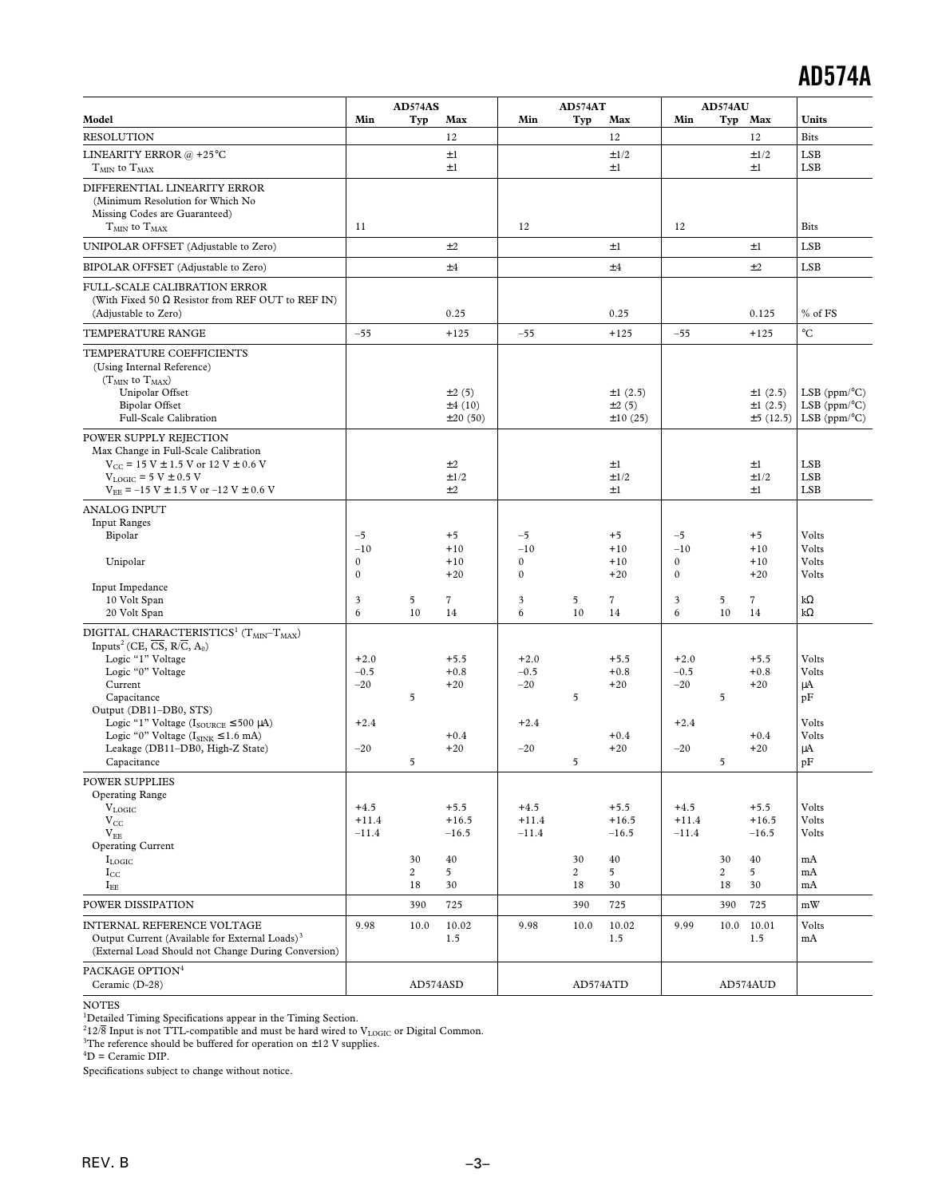|                                                                                                                                                                                                                                                                                                                                                                                                                                      |                                              | AD574AS              |                                               |                                              | AD574AT                    |                                               |                                              | AD574AU       |                                               |                                                                                           |
|--------------------------------------------------------------------------------------------------------------------------------------------------------------------------------------------------------------------------------------------------------------------------------------------------------------------------------------------------------------------------------------------------------------------------------------|----------------------------------------------|----------------------|-----------------------------------------------|----------------------------------------------|----------------------------|-----------------------------------------------|----------------------------------------------|---------------|-----------------------------------------------|-------------------------------------------------------------------------------------------|
| Model                                                                                                                                                                                                                                                                                                                                                                                                                                | Min                                          | Typ                  | Max                                           | Min                                          | Typ                        | Max                                           | Min                                          |               | Typ Max                                       | Units                                                                                     |
| <b>RESOLUTION</b>                                                                                                                                                                                                                                                                                                                                                                                                                    |                                              |                      | 12                                            |                                              |                            | 12                                            |                                              |               | 12                                            | <b>Bits</b>                                                                               |
| LINEARITY ERROR @ +25°C<br>$\rm T_{MIN}$ to $\rm T_{MAX}$                                                                                                                                                                                                                                                                                                                                                                            |                                              |                      | $\pm 1$<br>$\pm 1$                            |                                              |                            | ±1/2<br>$\pm 1$                               |                                              |               | ±1/2<br>$\pm 1$                               | <b>LSB</b><br><b>LSB</b>                                                                  |
| DIFFERENTIAL LINEARITY ERROR<br>(Minimum Resolution for Which No<br>Missing Codes are Guaranteed)<br>$TMIN$ to $TMAX$                                                                                                                                                                                                                                                                                                                | 11                                           |                      |                                               | 12                                           |                            |                                               | 12                                           |               |                                               | <b>Bits</b>                                                                               |
| UNIPOLAR OFFSET (Adjustable to Zero)                                                                                                                                                                                                                                                                                                                                                                                                 |                                              |                      | ±2                                            |                                              |                            | $\pm 1$                                       |                                              |               | $\pm 1$                                       | <b>LSB</b>                                                                                |
| BIPOLAR OFFSET (Adjustable to Zero)                                                                                                                                                                                                                                                                                                                                                                                                  |                                              |                      | ±4                                            |                                              |                            | ±4                                            |                                              |               | ±2                                            | <b>LSB</b>                                                                                |
| FULL-SCALE CALIBRATION ERROR<br>(With Fixed 50 $\Omega$ Resistor from REF OUT to REF IN)<br>(Adjustable to Zero)                                                                                                                                                                                                                                                                                                                     |                                              |                      | 0.25                                          |                                              |                            | 0.25                                          |                                              |               | 0.125                                         | % of FS                                                                                   |
| TEMPERATURE RANGE                                                                                                                                                                                                                                                                                                                                                                                                                    | $-55$                                        |                      | $+125$                                        | $-55$                                        |                            | $+125$                                        | $-55$                                        |               | $+125$                                        | $^{\circ}C$                                                                               |
| TEMPERATURE COEFFICIENTS<br>(Using Internal Reference)<br>$(T_{MIN}$ to $T_{MAX}$ )<br>Unipolar Offset<br><b>Bipolar Offset</b><br>Full-Scale Calibration                                                                                                                                                                                                                                                                            |                                              |                      | $\pm 2(5)$<br>±4(10)<br>±20(50)               |                                              |                            | ±1(2.5)<br>±2(5)<br>±10(25)                   |                                              |               | ±1(2.5)<br>±1(2.5)<br>±5(12.5)                | LSB ( $ppm$ <sup>o</sup> C)<br>LSB ( $ppm$ <sup>o</sup> C)<br>LSB ( $ppm$ <sup>o</sup> C) |
| POWER SUPPLY REJECTION<br>Max Change in Full-Scale Calibration<br>$V_{CC}$ = 15 V $\pm$ 1.5 V or 12 V $\pm$ 0.6 V<br>$V_{LOGIC}$ = 5 V $\pm$ 0.5 V<br>$V_{EE}$ = -15 V $\pm$ 1.5 V or -12 V $\pm$ 0.6 V                                                                                                                                                                                                                              |                                              |                      | ±2<br>±1/2<br>±2                              |                                              |                            | $\pm 1$<br>±1/2<br>$\pm 1$                    |                                              |               | $\pm 1$<br>±1/2<br>$\pm 1$                    | <b>LSB</b><br><b>LSB</b><br><b>LSB</b>                                                    |
| <b>ANALOG INPUT</b><br><b>Input Ranges</b><br>Bipolar<br>Unipolar                                                                                                                                                                                                                                                                                                                                                                    | $-5$<br>$-10$<br>$\boldsymbol{0}$            |                      | $+5$<br>$+10$<br>$+10$                        | $-5$<br>$-10$<br>$\boldsymbol{0}$            |                            | $+5$<br>$+10$<br>$+10$                        | $-5$<br>$-10$<br>$\mathbf{0}$                |               | $+5$<br>$+10$<br>$+10$                        | Volts<br>Volts<br>Volts                                                                   |
| Input Impedance<br>10 Volt Span<br>20 Volt Span                                                                                                                                                                                                                                                                                                                                                                                      | $\boldsymbol{0}$<br>3<br>6                   | $\overline{5}$<br>10 | $+20$<br>$\overline{7}$<br>14                 | $\boldsymbol{0}$<br>3<br>6                   | $\overline{5}$<br>10       | $+20$<br>$\overline{7}$<br>14                 | $\mathbf{0}$<br>3<br>6                       | 5<br>10       | $+20$<br>$\overline{7}$<br>14                 | Volts<br>$k\Omega$<br>$k\Omega$                                                           |
| DIGITAL CHARACTERISTICS <sup>1</sup> (T <sub>MIN</sub> -T <sub>MAX</sub> )<br>Inputs <sup>2</sup> (CE, $\overline{CS}$ , R/ $\overline{C}$ , A <sub>0</sub> )<br>Logic "1" Voltage<br>Logic "0" Voltage<br>Current<br>Capacitance<br>Output (DB11-DB0, STS)<br>Logic "1" Voltage ( $I_{\text{SOLRCE}} \le 500 \mu\text{A}$ )<br>Logic "0" Voltage ( $I_{\text{SINK}} \le 1.6$ mA)<br>Leakage (DB11-DB0, High-Z State)<br>Capacitance | $+2.0$<br>$-0.5$<br>$-20$<br>$+2.4$<br>$-20$ | 5<br>5               | $+5.5$<br>$+0.8$<br>$+20$<br>$+0.4$<br>$+20$  | $+2.0$<br>$-0.5$<br>$-20$<br>$+2.4$<br>$-20$ | 5<br>5                     | $+5.5$<br>$+0.8$<br>$+20$<br>$+0.4$<br>$+20$  | $+2.0$<br>$-0.5$<br>$-20$<br>$+2.4$<br>$-20$ | 5<br>5        | $+5.5$<br>$+0.8$<br>$+20$<br>$+0.4$<br>$+20$  | Volts<br>Volts<br>μA<br>pF<br>Volts<br>Volts<br>μA<br>pF                                  |
| <b>POWER SUPPLIES</b><br><b>Operating Range</b><br>$V_{LOGIC}$<br>$V_{CC}$<br>$V_{EE}$<br><b>Operating Current</b><br>$I_{LOGIC}$<br>$I_{\rm CC}$<br>$I_{EE}$                                                                                                                                                                                                                                                                        | $+4.5$<br>$+11.4$<br>$-11.4$                 | 30<br>2<br>18        | $+5.5$<br>$+16.5$<br>$-16.5$<br>40<br>5<br>30 | $+4.5$<br>$+11.4$<br>$-11.4$                 | 30<br>$\overline{c}$<br>18 | $+5.5$<br>$+16.5$<br>$-16.5$<br>40<br>5<br>30 | $+4.5$<br>$+11.4$<br>$-11.4$                 | 30<br>2<br>18 | $+5.5$<br>$+16.5$<br>$-16.5$<br>40<br>5<br>30 | Volts<br>Volts<br>Volts<br>mA<br>mA<br>mA                                                 |
| POWER DISSIPATION                                                                                                                                                                                                                                                                                                                                                                                                                    |                                              | 390                  | 725                                           |                                              | 390                        | 725                                           |                                              | 390           | 725                                           | mW                                                                                        |
| INTERNAL REFERENCE VOLTAGE<br>Output Current (Available for External Loads) <sup>3</sup><br>(External Load Should not Change During Conversion)                                                                                                                                                                                                                                                                                      | 9.98                                         | 10.0                 | 10.02<br>1.5                                  | 9.98                                         | 10.0                       | 10.02<br>1.5                                  | 9.99                                         | 10.0          | 10.01<br>1.5                                  | Volts<br>mA                                                                               |
| PACKAGE OPTION <sup>4</sup><br>Ceramic (D-28)                                                                                                                                                                                                                                                                                                                                                                                        |                                              | AD574ASD             |                                               |                                              |                            | AD574ATD                                      |                                              |               | AD574AUD                                      |                                                                                           |

NOTES

<sup>1</sup>Detailed Timing Specifications appear in the Timing Section.<br><sup>212/8</sup> Input is not TTL-compatible and must be hard wired to V<sub>LOGIC</sub> or Digital Common.<br><sup>3</sup>The reference should be buffered for operation on ±12 V supplies

Specifications subject to change without notice.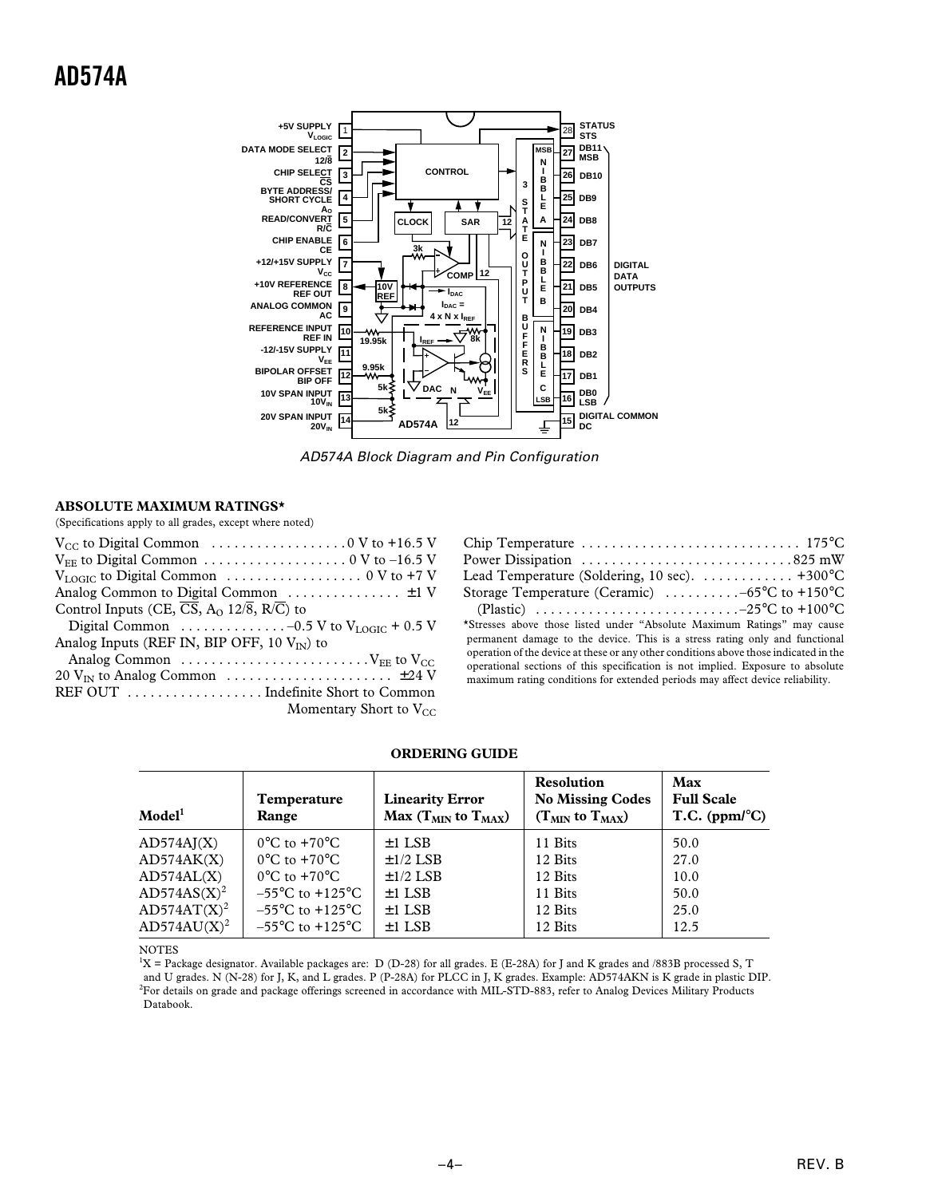

AD574A Block Diagram and Pin Configuration

### **ABSOLUTE MAXIMUM RATINGS\***

(Specifications apply to all grades, except where noted)

| $V_{CC}$ to Digital Common $\ldots \ldots \ldots \ldots \ldots \ldots \ldots \ldots 0$ V to +16.5 V |
|-----------------------------------------------------------------------------------------------------|
|                                                                                                     |
|                                                                                                     |
| Analog Common to Digital Common $\dots \dots \dots \dots \dots \pm 1$ V                             |
| Control Inputs (CE, $\overline{CS}$ , A <sub>O</sub> 12/8, R/C) to                                  |
| Digital Common $\ldots \ldots \ldots \ldots -0.5$ V to V <sub>LOGIC</sub> + 0.5 V                   |
| Analog Inputs (REF IN, BIP OFF, 10 $V_{\text{IN}}$ ) to                                             |
| Analog Common $\dots \dots \dots \dots \dots \dots \dots \dots \dots$                               |
|                                                                                                     |
|                                                                                                     |
| Momentary Short to $V_{CC}$                                                                         |

### **ORDERING GUIDE**

| $\bf{Model}^1$          | <b>Temperature</b><br>Range         | <b>Linearity Error</b><br>Max ( $T_{MIN}$ to $T_{MAX}$ ) | <b>Resolution</b><br><b>No Missing Codes</b><br>$(T_{MIN}$ to $T_{MAX}$ ) | Max<br><b>Full Scale</b><br>$T.C.$ (ppm/ $^{\circ}$ C) |
|-------------------------|-------------------------------------|----------------------------------------------------------|---------------------------------------------------------------------------|--------------------------------------------------------|
| AD574AI(X)              | $0^{\circ}$ C to $+70^{\circ}$ C    | $\pm$ 1 LSB                                              | 11 Bits                                                                   | 50.0                                                   |
| AD574AK(X)              | $0^{\circ}$ C to $+70^{\circ}$ C    | $\pm 1/2$ LSB                                            | 12 Bits                                                                   | 27.0                                                   |
| AD574AL(X)              | $0^{\circ}$ C to $+70^{\circ}$ C    | $\pm 1/2$ LSB                                            | 12 Bits                                                                   | 10.0                                                   |
| $AD574AS(X)^2$          | $-55^{\circ}$ C to $+125^{\circ}$ C | $\pm 1$ LSB                                              | 11 Bits                                                                   | 50.0                                                   |
| AD574AT(X) <sup>2</sup> | $-55^{\circ}$ C to $+125^{\circ}$ C | $\pm 1$ LSB                                              | 12 Bits                                                                   | 25.0                                                   |
| $AD574AU(X)^2$          | $-55^{\circ}$ C to $+125^{\circ}$ C | $\pm 1$ LSB                                              | 12 Bits                                                                   | 12.5                                                   |

NOTES

 ${}^1X$  = Package designator. Available packages are: D (D-28) for all grades. E (E-28A) for J and K grades and /883B processed S, T and U grades. N (N-28) for J, K, and L grades. P (P-28A) for PLCC in J, K grades. Example: AD574AKN is K grade in plastic DIP. 2 For details on grade and package offerings screened in accordance with MIL-STD-883, refer to Analog Devices Military Products Databook.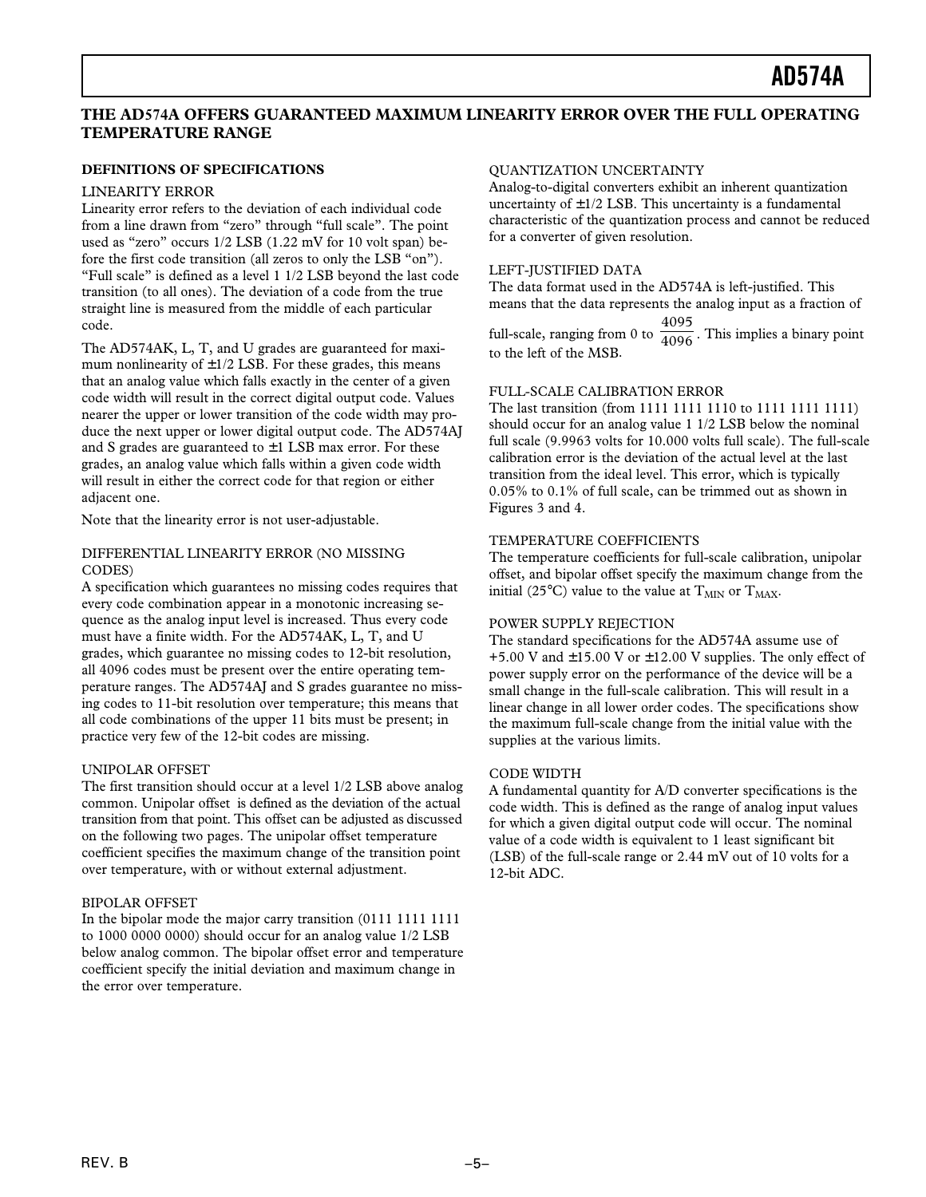### **THE AD574A OFFERS GUARANTEED MAXIMUM LINEARITY ERROR OVER THE FULL OPERATING TEMPERATURE RANGE**

### **DEFINITIONS OF SPECIFICATIONS**

### LINEARITY ERROR

Linearity error refers to the deviation of each individual code from a line drawn from "zero" through "full scale". The point used as "zero" occurs 1/2 LSB (1.22 mV for 10 volt span) before the first code transition (all zeros to only the LSB "on"). "Full scale" is defined as a level 1 1/2 LSB beyond the last code transition (to all ones). The deviation of a code from the true straight line is measured from the middle of each particular code.

The AD574AK, L, T, and U grades are guaranteed for maximum nonlinearity of  $\pm 1/2$  LSB. For these grades, this means that an analog value which falls exactly in the center of a given code width will result in the correct digital output code. Values nearer the upper or lower transition of the code width may produce the next upper or lower digital output code. The AD574AJ and S grades are guaranteed to  $\pm 1$  LSB max error. For these grades, an analog value which falls within a given code width will result in either the correct code for that region or either adjacent one.

Note that the linearity error is not user-adjustable.

### DIFFERENTIAL LINEARITY ERROR (NO MISSING CODES)

A specification which guarantees no missing codes requires that every code combination appear in a monotonic increasing sequence as the analog input level is increased. Thus every code must have a finite width. For the AD574AK, L, T, and U grades, which guarantee no missing codes to 12-bit resolution, all 4096 codes must be present over the entire operating temperature ranges. The AD574AJ and S grades guarantee no missing codes to 11-bit resolution over temperature; this means that all code combinations of the upper 11 bits must be present; in practice very few of the 12-bit codes are missing.

### UNIPOLAR OFFSET

The first transition should occur at a level 1/2 LSB above analog common. Unipolar offset is defined as the deviation of the actual transition from that point. This offset can be adjusted as discussed on the following two pages. The unipolar offset temperature coefficient specifies the maximum change of the transition point over temperature, with or without external adjustment.

### BIPOLAR OFFSET

In the bipolar mode the major carry transition (0111 1111 1111 to 1000 0000 0000) should occur for an analog value 1/2 LSB below analog common. The bipolar offset error and temperature coefficient specify the initial deviation and maximum change in the error over temperature.

#### QUANTIZATION UNCERTAINTY

Analog-to-digital converters exhibit an inherent quantization uncertainty of  $\pm 1/2$  LSB. This uncertainty is a fundamental characteristic of the quantization process and cannot be reduced for a converter of given resolution.

### LEFT-JUSTIFIED DATA

The data format used in the AD574A is left-justified. This means that the data represents the analog input as a fraction of

full-scale, ranging from 0 to 4095  $\overline{4096}$  . This implies a binary point to the left of the MSB.

### FULL-SCALE CALIBRATION ERROR

The last transition (from 1111 1111 1110 to 1111 1111 1111) should occur for an analog value 1 1/2 LSB below the nominal full scale (9.9963 volts for 10.000 volts full scale). The full-scale calibration error is the deviation of the actual level at the last transition from the ideal level. This error, which is typically 0.05% to 0.1% of full scale, can be trimmed out as shown in Figures 3 and 4.

### TEMPERATURE COEFFICIENTS

The temperature coefficients for full-scale calibration, unipolar offset, and bipolar offset specify the maximum change from the initial (25°C) value to the value at  $T_{MIN}$  or  $T_{MAX}$ .

### POWER SUPPLY REJECTION

The standard specifications for the AD574A assume use of +5.00 V and  $\pm$ 15.00 V or  $\pm$ 12.00 V supplies. The only effect of power supply error on the performance of the device will be a small change in the full-scale calibration. This will result in a linear change in all lower order codes. The specifications show the maximum full-scale change from the initial value with the supplies at the various limits.

#### CODE WIDTH

A fundamental quantity for A/D converter specifications is the code width. This is defined as the range of analog input values for which a given digital output code will occur. The nominal value of a code width is equivalent to 1 least significant bit (LSB) of the full-scale range or 2.44 mV out of 10 volts for a 12-bit ADC.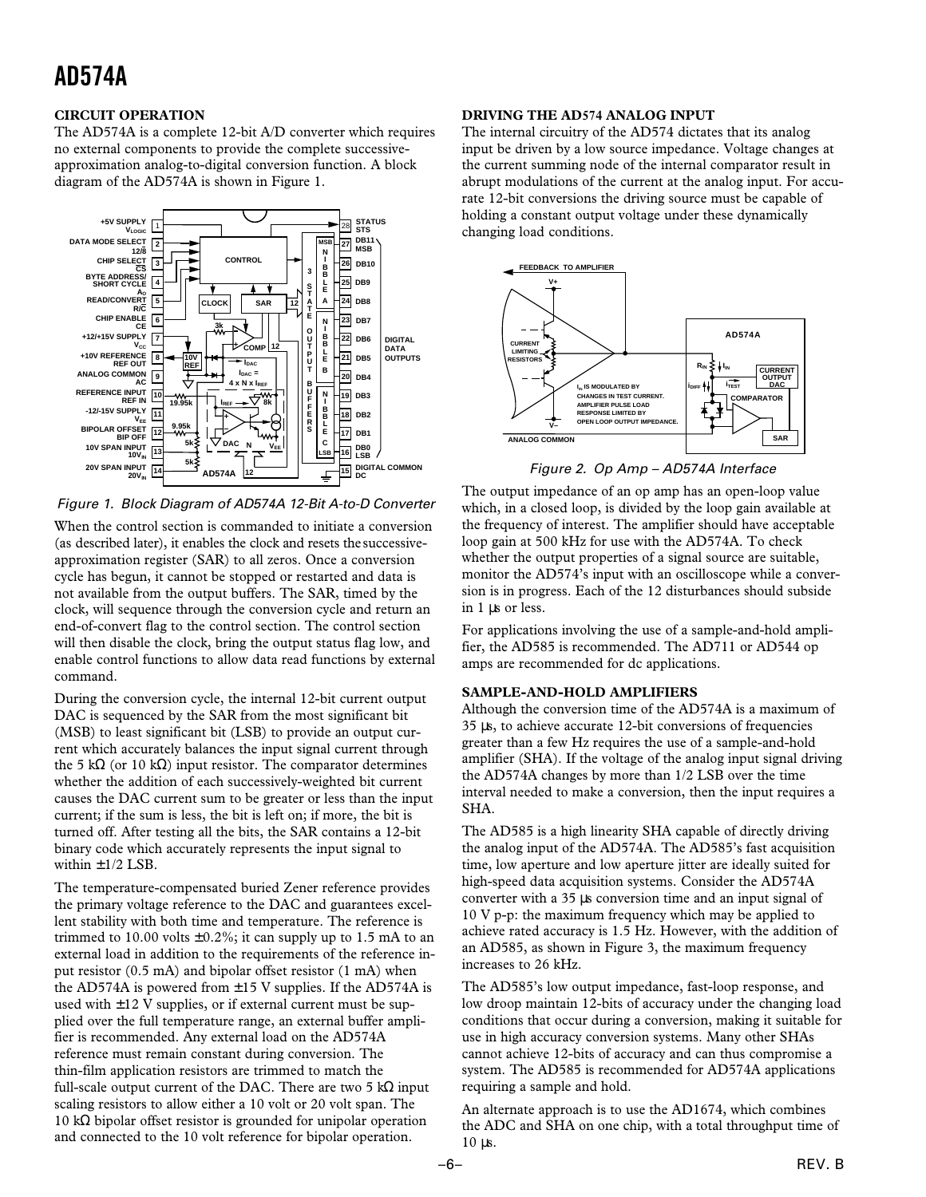### **CIRCUIT OPERATION**

The AD574A is a complete 12-bit A/D converter which requires no external components to provide the complete successiveapproximation analog-to-digital conversion function. A block diagram of the AD574A is shown in Figure 1.



Figure 1. Block Diagram of AD574A 12-Bit A-to-D Converter

When the control section is commanded to initiate a conversion (as described later), it enables the clock and resets the successiveapproximation register (SAR) to all zeros. Once a conversion cycle has begun, it cannot be stopped or restarted and data is not available from the output buffers. The SAR, timed by the clock, will sequence through the conversion cycle and return an end-of-convert flag to the control section. The control section will then disable the clock, bring the output status flag low, and enable control functions to allow data read functions by external command.

During the conversion cycle, the internal 12-bit current output DAC is sequenced by the SAR from the most significant bit (MSB) to least significant bit (LSB) to provide an output current which accurately balances the input signal current through the 5 kΩ (or 10 kΩ) input resistor. The comparator determines whether the addition of each successively-weighted bit current causes the DAC current sum to be greater or less than the input current; if the sum is less, the bit is left on; if more, the bit is turned off. After testing all the bits, the SAR contains a 12-bit binary code which accurately represents the input signal to within  $\pm 1/2$  LSB.

The temperature-compensated buried Zener reference provides the primary voltage reference to the DAC and guarantees excellent stability with both time and temperature. The reference is trimmed to 10.00 volts  $\pm 0.2\%$ ; it can supply up to 1.5 mA to an external load in addition to the requirements of the reference input resistor (0.5 mA) and bipolar offset resistor (1 mA) when the AD574A is powered from  $\pm$ 15 V supplies. If the AD574A is used with  $\pm 12$  V supplies, or if external current must be supplied over the full temperature range, an external buffer amplifier is recommended. Any external load on the AD574A reference must remain constant during conversion. The thin-film application resistors are trimmed to match the full-scale output current of the DAC. There are two 5 k $\Omega$  input scaling resistors to allow either a 10 volt or 20 volt span. The 10 kΩ bipolar offset resistor is grounded for unipolar operation and connected to the 10 volt reference for bipolar operation.

### **DRIVING THE AD574 ANALOG INPUT**

The internal circuitry of the AD574 dictates that its analog input be driven by a low source impedance. Voltage changes at the current summing node of the internal comparator result in abrupt modulations of the current at the analog input. For accurate 12-bit conversions the driving source must be capable of holding a constant output voltage under these dynamically changing load conditions.



Figure 2. Op Amp – AD574A Interface

The output impedance of an op amp has an open-loop value which, in a closed loop, is divided by the loop gain available at the frequency of interest. The amplifier should have acceptable loop gain at 500 kHz for use with the AD574A. To check whether the output properties of a signal source are suitable, monitor the AD574's input with an oscilloscope while a conversion is in progress. Each of the 12 disturbances should subside in 1 µs or less.

For applications involving the use of a sample-and-hold amplifier, the AD585 is recommended. The AD711 or AD544 op amps are recommended for dc applications.

### **SAMPLE-AND-HOLD AMPLIFIERS**

Although the conversion time of the AD574A is a maximum of 35 µs, to achieve accurate 12-bit conversions of frequencies greater than a few Hz requires the use of a sample-and-hold amplifier (SHA). If the voltage of the analog input signal driving the AD574A changes by more than 1/2 LSB over the time interval needed to make a conversion, then the input requires a SHA.

The AD585 is a high linearity SHA capable of directly driving the analog input of the AD574A. The AD585's fast acquisition time, low aperture and low aperture jitter are ideally suited for high-speed data acquisition systems. Consider the AD574A converter with a 35 µs conversion time and an input signal of 10 V p-p: the maximum frequency which may be applied to achieve rated accuracy is 1.5 Hz. However, with the addition of an AD585, as shown in Figure 3, the maximum frequency increases to 26 kHz.

The AD585's low output impedance, fast-loop response, and low droop maintain 12-bits of accuracy under the changing load conditions that occur during a conversion, making it suitable for use in high accuracy conversion systems. Many other SHAs cannot achieve 12-bits of accuracy and can thus compromise a system. The AD585 is recommended for AD574A applications requiring a sample and hold.

An alternate approach is to use the AD1674, which combines the ADC and SHA on one chip, with a total throughput time of 10 µs.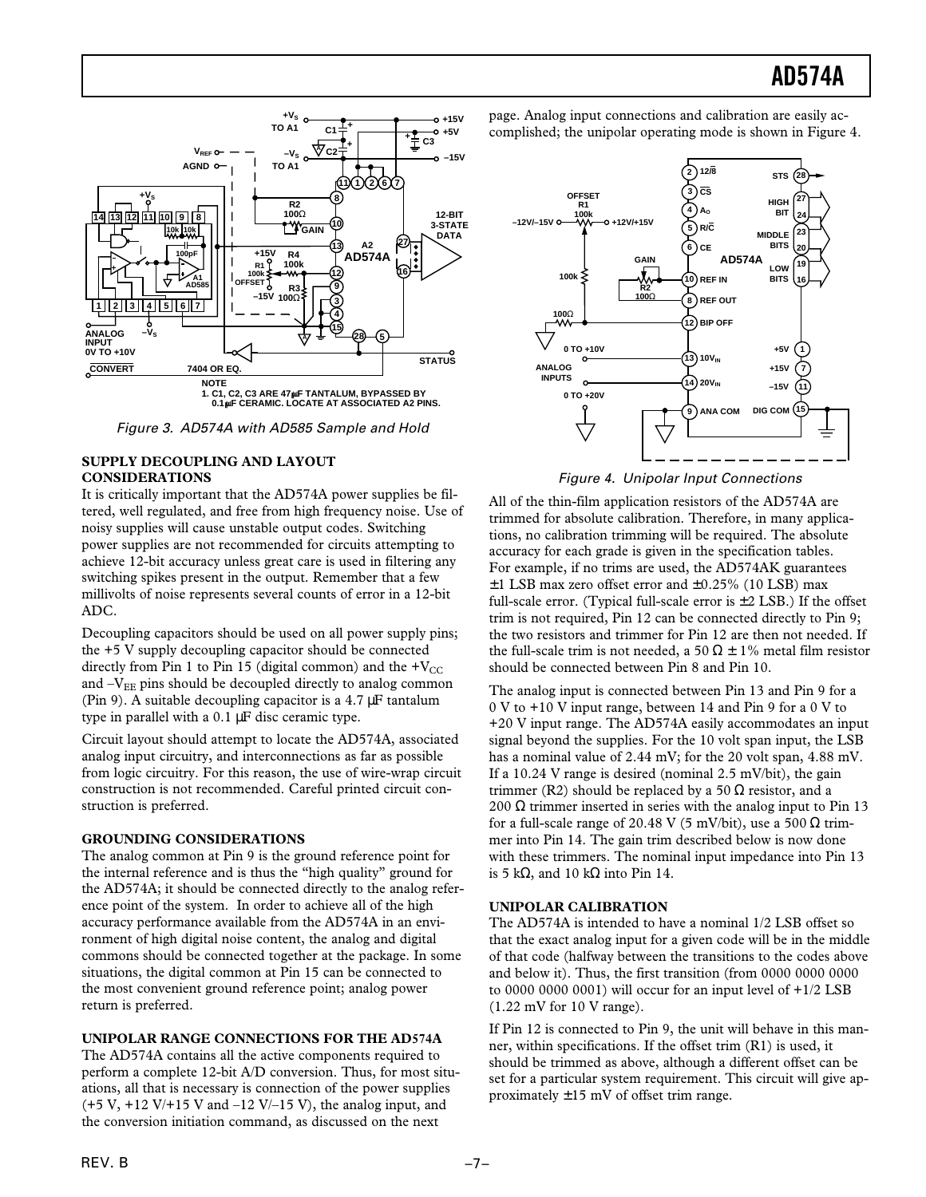

Figure 3. AD574A with AD585 Sample and Hold

### **SUPPLY DECOUPLING AND LAYOUT CONSIDERATIONS**

It is critically important that the AD574A power supplies be filtered, well regulated, and free from high frequency noise. Use of noisy supplies will cause unstable output codes. Switching power supplies are not recommended for circuits attempting to achieve 12-bit accuracy unless great care is used in filtering any switching spikes present in the output. Remember that a few millivolts of noise represents several counts of error in a 12-bit ADC.

Decoupling capacitors should be used on all power supply pins; the +5 V supply decoupling capacitor should be connected directly from Pin 1 to Pin 15 (digital common) and the  $+V_{\text{CC}}$ and  $-V_{EE}$  pins should be decoupled directly to analog common (Pin 9). A suitable decoupling capacitor is a 4.7 µF tantalum type in parallel with a 0.1 µF disc ceramic type.

Circuit layout should attempt to locate the AD574A, associated analog input circuitry, and interconnections as far as possible from logic circuitry. For this reason, the use of wire-wrap circuit construction is not recommended. Careful printed circuit construction is preferred.

### **GROUNDING CONSIDERATIONS**

The analog common at Pin 9 is the ground reference point for the internal reference and is thus the "high quality" ground for the AD574A; it should be connected directly to the analog reference point of the system. In order to achieve all of the high accuracy performance available from the AD574A in an environment of high digital noise content, the analog and digital commons should be connected together at the package. In some situations, the digital common at Pin 15 can be connected to the most convenient ground reference point; analog power return is preferred.

### **UNIPOLAR RANGE CONNECTIONS FOR THE AD574A**

The AD574A contains all the active components required to perform a complete 12-bit A/D conversion. Thus, for most situations, all that is necessary is connection of the power supplies  $(+5 V, +12 V/ +15 V$  and  $-12 V/ -15 V$ , the analog input, and the conversion initiation command, as discussed on the next

page. Analog input connections and calibration are easily accomplished; the unipolar operating mode is shown in Figure 4.



Figure 4. Unipolar Input Connections

All of the thin-film application resistors of the AD574A are trimmed for absolute calibration. Therefore, in many applications, no calibration trimming will be required. The absolute accuracy for each grade is given in the specification tables. For example, if no trims are used, the AD574AK guarantees  $\pm$ 1 LSB max zero offset error and  $\pm$ 0.25% (10 LSB) max full-scale error. (Typical full-scale error is  $\pm 2$  LSB.) If the offset trim is not required, Pin 12 can be connected directly to Pin 9; the two resistors and trimmer for Pin 12 are then not needed. If the full-scale trim is not needed, a 50  $\Omega \pm 1\%$  metal film resistor should be connected between Pin 8 and Pin 10.

The analog input is connected between Pin 13 and Pin 9 for a 0 V to +10 V input range, between 14 and Pin 9 for a 0 V to +20 V input range. The AD574A easily accommodates an input signal beyond the supplies. For the 10 volt span input, the LSB has a nominal value of 2.44 mV; for the 20 volt span, 4.88 mV. If a 10.24 V range is desired (nominal 2.5 mV/bit), the gain trimmer (R2) should be replaced by a 50  $\Omega$  resistor, and a 200  $\Omega$  trimmer inserted in series with the analog input to Pin 13 for a full-scale range of 20.48 V (5 mV/bit), use a 500  $\Omega$  trimmer into Pin 14. The gain trim described below is now done with these trimmers. The nominal input impedance into Pin 13 is 5 kΩ, and 10 kΩ into Pin 14.

### **UNIPOLAR CALIBRATION**

The AD574A is intended to have a nominal 1/2 LSB offset so that the exact analog input for a given code will be in the middle of that code (halfway between the transitions to the codes above and below it). Thus, the first transition (from 0000 0000 0000 to 0000 0000 0001) will occur for an input level of  $+1/2$  LSB (1.22 mV for 10 V range).

If Pin 12 is connected to Pin 9, the unit will behave in this manner, within specifications. If the offset trim (R1) is used, it should be trimmed as above, although a different offset can be set for a particular system requirement. This circuit will give approximately  $\pm 15$  mV of offset trim range.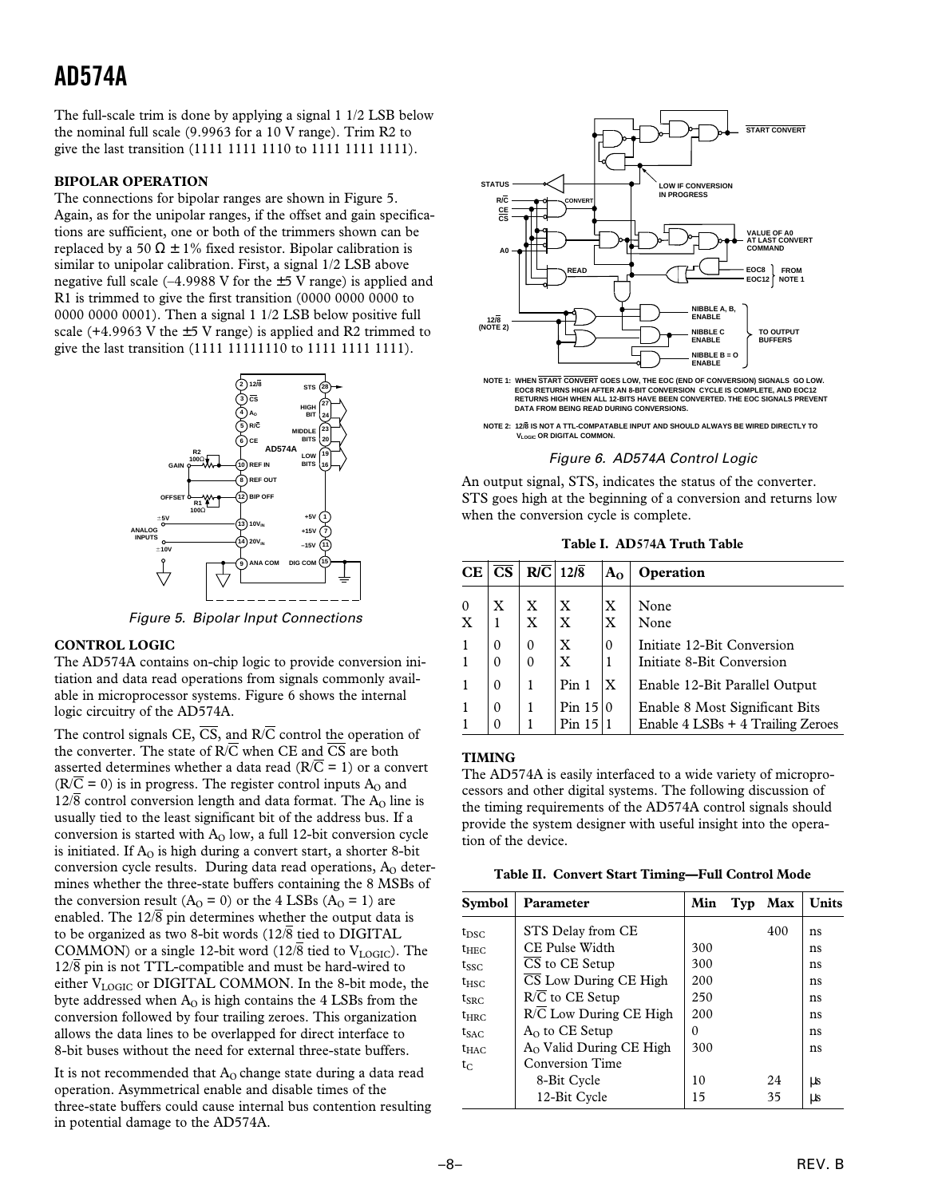The full-scale trim is done by applying a signal 1 1/2 LSB below the nominal full scale (9.9963 for a 10 V range). Trim R2 to give the last transition (1111 1111 1110 to 1111 1111 1111).

### **BIPOLAR OPERATION**

The connections for bipolar ranges are shown in Figure 5. Again, as for the unipolar ranges, if the offset and gain specifications are sufficient, one or both of the trimmers shown can be replaced by a 50  $\Omega \pm 1\%$  fixed resistor. Bipolar calibration is similar to unipolar calibration. First, a signal 1/2 LSB above negative full scale  $(-4.9988 \text{ V}$  for the  $\pm 5 \text{ V}$  range) is applied and R1 is trimmed to give the first transition (0000 0000 0000 to 0000 0000 0001). Then a signal 1 1/2 LSB below positive full scale (+4.9963 V the  $\pm$ 5 V range) is applied and R2 trimmed to give the last transition (1111 11111110 to 1111 1111 1111).



Figure 5. Bipolar Input Connections

### **CONTROL LOGIC**

The AD574A contains on-chip logic to provide conversion initiation and data read operations from signals commonly available in microprocessor systems. Figure 6 shows the internal logic circuitry of the AD574A.

The control signals CE,  $\overline{CS}$ , and  $R/\overline{C}$  control the operation of the converter. The state of  $R/\overline{C}$  when CE and  $\overline{CS}$  are both asserted determines whether a data read ( $R/\overline{C} = 1$ ) or a convert  $(R/\overline{C} = 0)$  is in progress. The register control inputs A<sub>0</sub> and  $12\sqrt{8}$  control conversion length and data format. The A<sub>O</sub> line is usually tied to the least significant bit of the address bus. If a conversion is started with  $A_0$  low, a full 12-bit conversion cycle is initiated. If  $A<sub>o</sub>$  is high during a convert start, a shorter 8-bit conversion cycle results. During data read operations,  $A_0$  determines whether the three-state buffers containing the 8 MSBs of the conversion result  $(A<sub>O</sub> = 0)$  or the 4 LSBs  $(A<sub>O</sub> = 1)$  are enabled. The  $12\sqrt{8}$  pin determines whether the output data is to be organized as two 8-bit words  $(12\sqrt{8})$  tied to DIGITAL COMMON) or a single 12-bit word (12/8 tied to  $V_{LOGIC}$ ). The  $12\sqrt{8}$  pin is not TTL-compatible and must be hard-wired to either V<sub>LOGIC</sub> or DIGITAL COMMON. In the 8-bit mode, the byte addressed when  $A<sub>0</sub>$  is high contains the 4 LSBs from the conversion followed by four trailing zeroes. This organization allows the data lines to be overlapped for direct interface to 8-bit buses without the need for external three-state buffers.

It is not recommended that  $A_0$  change state during a data read operation. Asymmetrical enable and disable times of the three-state buffers could cause internal bus contention resulting in potential damage to the AD574A.



**NOTE 1: WHEN START CONVERT GOES LOW, THE EOC (END OF CONVERSION) SIGNALS GO LOW. EOC8 RETURNS HIGH AFTER AN 8-BIT CONVERSION CYCLE IS COMPLETE, AND EOC12 RETURNS HIGH WHEN ALL 12-BITS HAVE BEEN CONVERTED. THE EOC SIGNALS PREVENT DATA FROM BEING READ DURING CONVERSIONS.**

### Figure 6. AD574A Control Logic

An output signal, STS, indicates the status of the converter. STS goes high at the beginning of a conversion and returns low when the conversion cycle is complete.

**Table I. AD574A Truth Table**

| CE            | $\overline{\text{CS}}$ |                                             | $R/\overline{C}$ 12/8                       | A <sub>0</sub> | Operation                                                           |
|---------------|------------------------|---------------------------------------------|---------------------------------------------|----------------|---------------------------------------------------------------------|
| $\frac{0}{X}$ | $\boldsymbol{X}$       | $\boldsymbol{\mathrm{X}}$<br>$\overline{X}$ | $\boldsymbol{\mathrm{X}}$<br>$\overline{x}$ | X<br>X         | None<br>None                                                        |
|               | $\theta$               | $\theta$<br>$\Omega$                        | $\mathbf X$<br>X                            | $\mathbf{0}$   | Initiate 12-Bit Conversion<br>Initiate 8-Bit Conversion             |
|               | $\Omega$               |                                             | Pin <sub>1</sub>                            | ΙX             | Enable 12-Bit Parallel Output                                       |
|               | $\Omega$               |                                             | Pin $15 0$<br>Pin $15 1$                    |                | Enable 8 Most Significant Bits<br>Enable 4 LSBs + 4 Trailing Zeroes |

### **TIMING**

The AD574A is easily interfaced to a wide variety of microprocessors and other digital systems. The following discussion of the timing requirements of the AD574A control signals should provide the system designer with useful insight into the operation of the device.

**Table II. Convert Start Timing—Full Control Mode**

| Symbol           | Parameter                           | Min | Typ | Max | <b>Units</b> |
|------------------|-------------------------------------|-----|-----|-----|--------------|
| $t_{\rm DSC}$    | STS Delay from CE                   |     |     | 400 | ns           |
| $t_{\rm HEC}$    | CE Pulse Width                      | 300 |     |     | ns           |
| $t_{\rm SSC}$    | CS to CE Setup                      | 300 |     |     | ns           |
| $t_{HSC}$        | CS Low During CE High               | 200 |     |     | ns           |
| $t_{\text{SRC}}$ | R/C to CE Setup                     | 250 |     |     | ns           |
| $t_{\rm HRC}$    | R/C Low During CE High              | 200 |     |     | ns           |
| $t_{SAC}$        | $A0$ to CE Setup                    | 0   |     |     | ns           |
| $t_{HAC}$        | A <sub>O</sub> Valid During CE High | 300 |     |     | ns           |
| $t_C$            | Conversion Time                     |     |     |     |              |
|                  | 8-Bit Cycle                         | 10  |     | 24  | μs           |
|                  | 12-Bit Cycle                        | 15  |     | 35  | μs           |

**NOTE 2: 12/8 IS NOT A TTL-COMPATABLE INPUT AND SHOULD ALWAYS BE WIRED DIRECTLY TO VLOGIC OR DIGITAL COMMON.**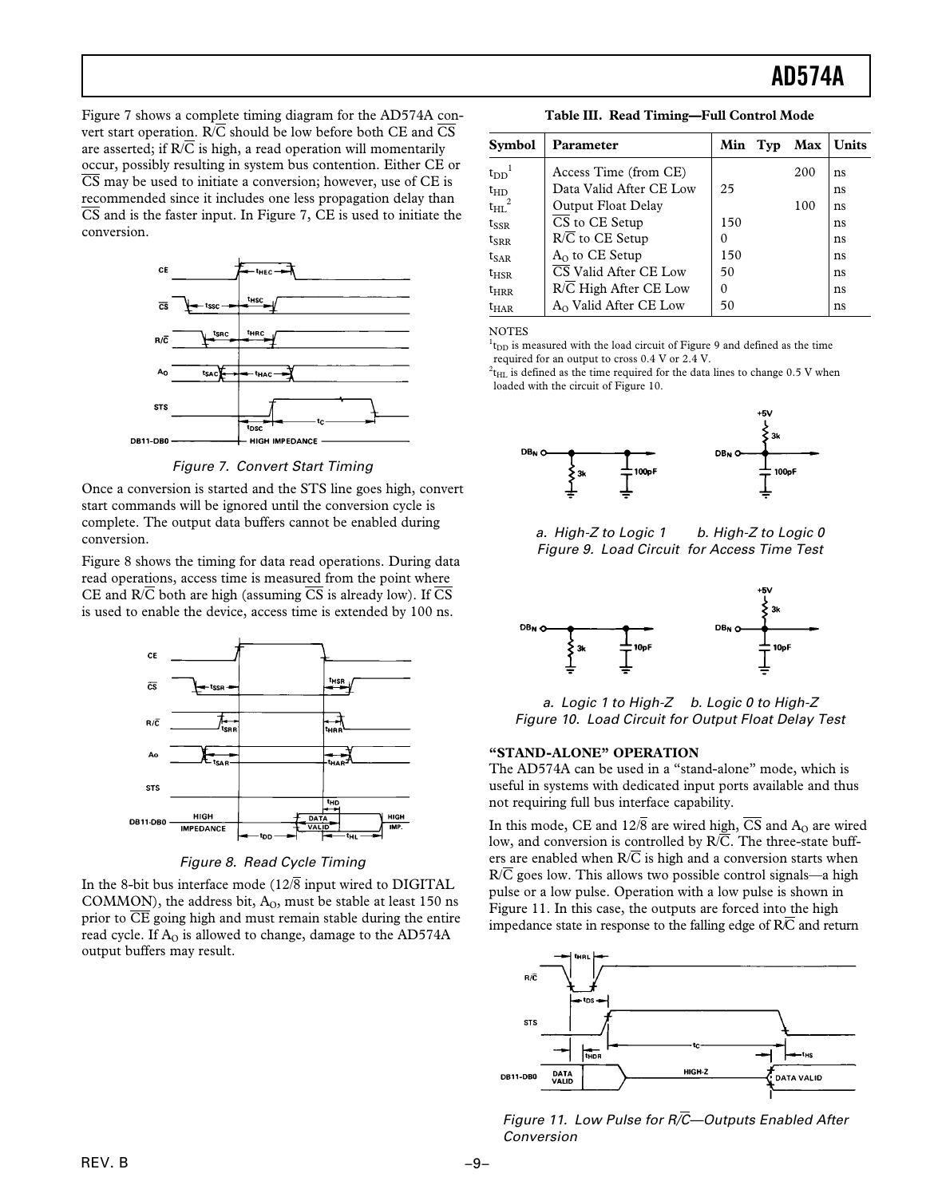Figure 7 shows a complete timing diagram for the AD574A convert start operation.  $R/\overline{C}$  should be low before both CE and  $\overline{CS}$ are asserted; if  $R/\overline{C}$  is high, a read operation will momentarily occur, possibly resulting in system bus contention. Either CE or  $\overline{\text{CS}}$  may be used to initiate a conversion; however, use of CE is recommended since it includes one less propagation delay than  $\overline{CS}$  and is the faster input. In Figure 7, CE is used to initiate the conversion.



Figure 7. Convert Start Timing

Once a conversion is started and the STS line goes high, convert start commands will be ignored until the conversion cycle is complete. The output data buffers cannot be enabled during conversion.

Figure 8 shows the timing for data read operations. During data read operations, access time is measured from the point where CE and  $R/\overline{C}$  both are high (assuming  $\overline{CS}$  is already low). If  $\overline{CS}$ is used to enable the device, access time is extended by 100 ns.



Figure 8. Read Cycle Timing

In the 8-bit bus interface mode  $(12\sqrt{8})$  input wired to DIGITAL COMMON), the address bit,  $A<sub>0</sub>$ , must be stable at least 150 ns prior to  $\overline{CE}$  going high and must remain stable during the entire read cycle. If  $A<sub>0</sub>$  is allowed to change, damage to the AD574A output buffers may result.

**Table III. Read Timing—Full Control Mode**

| <b>Symbol</b>         | Parameter                    | Min | Typ | Max | <b>Units</b> |
|-----------------------|------------------------------|-----|-----|-----|--------------|
| $t_{DD}$ <sup>1</sup> | Access Time (from CE)        |     |     | 200 | ns           |
| $t_{HD}$              | Data Valid After CE Low      | 25  |     |     | ns           |
| $t_{HL}$ <sup>2</sup> | Output Float Delay           |     |     | 100 | ns           |
| $t_{SSR}$             | CS to CE Setup               | 150 |     |     | ns           |
| $t_{\rm SRR}$         | $R/\overline{C}$ to CE Setup | 0   |     |     | ns           |
| $t_{\text{SAR}}$      | $A0$ to CE Setup             | 150 |     |     | ns           |
| $t_{HSR}$             | CS Valid After CE Low        | 50  |     |     | ns           |
| $t_{HRR}$             | R/C High After CE Low        | 0   |     |     | ns           |
| $t_{\rm HAR}$         | $A_0$ Valid After CE Low     | 50  |     |     | ns           |

**NOTES** 

 $1_{\text{t}}$  is measured with the load circuit of Figure 9 and defined as the time required for an output to cross 0.4 V or 2.4 V.

 $^{2}$ t<sub>HL</sub> is defined as the time required for the data lines to change 0.5 V when loaded with the circuit of Figure 10.



a. High-Z to Logic 1 b. High-Z to Logic 0 Figure 9. Load Circuit for Access Time Test



a. Logic 1 to High-Z b. Logic 0 to High-Z Figure 10. Load Circuit for Output Float Delay Test

### **"STAND-ALONE" OPERATION**

The AD574A can be used in a "stand-alone" mode, which is useful in systems with dedicated input ports available and thus not requiring full bus interface capability.

In this mode, CE and  $12\sqrt{8}$  are wired high,  $\overline{CS}$  and  $A_0$  are wired low, and conversion is controlled by  $R/\overline{C}$ . The three-state buffers are enabled when  $R/\overline{C}$  is high and a conversion starts when  $R/\overline{C}$  goes low. This allows two possible control signals—a high pulse or a low pulse. Operation with a low pulse is shown in Figure 11. In this case, the outputs are forced into the high impedance state in response to the falling edge of R/C and return



Figure 11. Low Pulse for R/*C*—Outputs Enabled After Conversion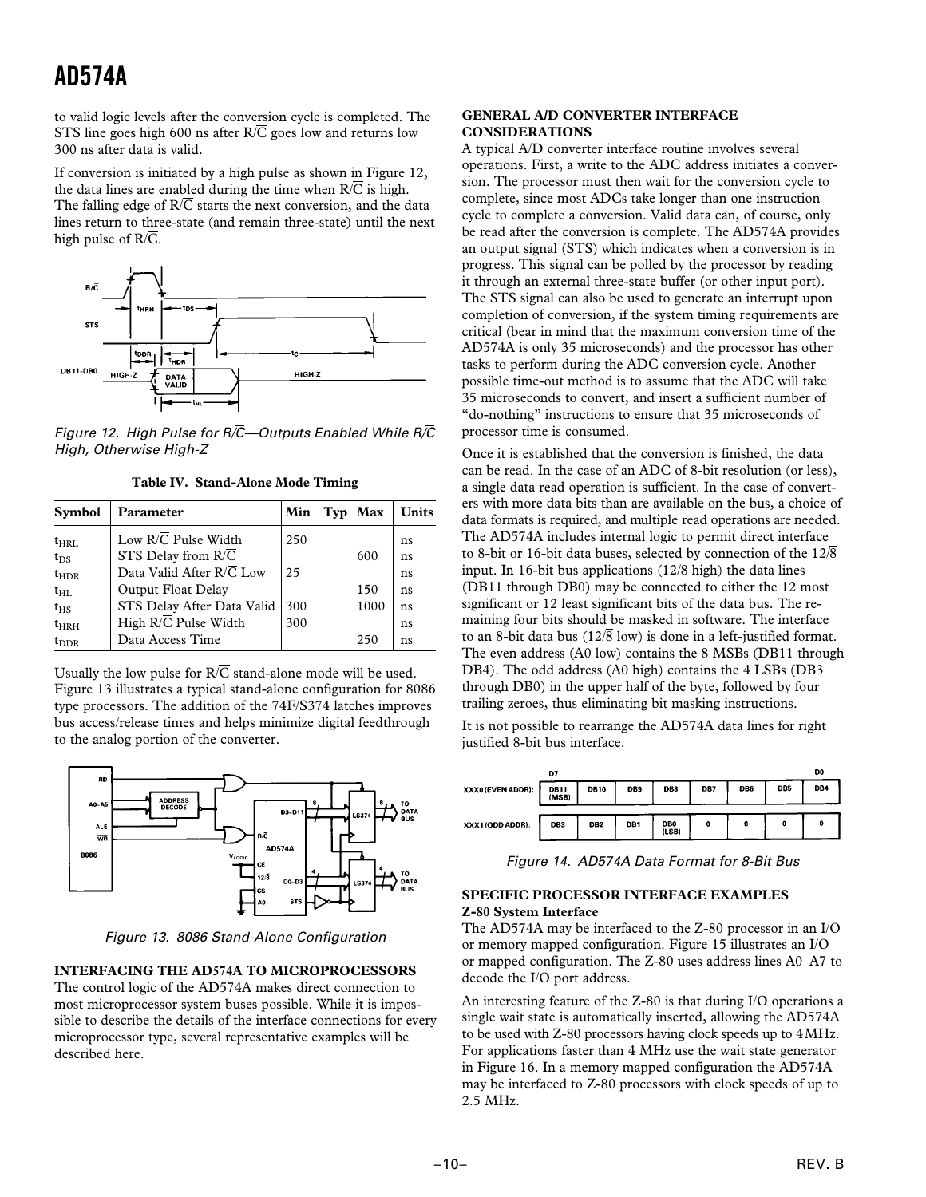to valid logic levels after the conversion cycle is completed. The STS line goes high 600 ns after  $R/\overline{C}$  goes low and returns low 300 ns after data is valid.

If conversion is initiated by a high pulse as shown in Figure 12, the data lines are enabled during the time when  $R/\overline{C}$  is high. The falling edge of  $R/\overline{C}$  starts the next conversion, and the data lines return to three-state (and remain three-state) until the next high pulse of  $R/\overline{C}$ .



Figure 12. High Pulse for R/*C*—Outputs Enabled While R/*C* High, Otherwise High-Z

| Table IV. Stand-Alone Mode Timing |  |
|-----------------------------------|--|
|                                   |  |

| <b>Symbol</b>             | Parameter                                              | Min | Typ Max | Units    |
|---------------------------|--------------------------------------------------------|-----|---------|----------|
| $t_{HRL}$                 | Low $R/\overline{C}$ Pulse Width<br>STS Delay from R/C | 250 | 600     | ns       |
| $t_{DS}$<br>$t_{\rm HDR}$ | Data Valid After R/C Low                               | 25  |         | ns<br>ns |
| $t_{HL}$                  | Output Float Delay                                     |     | 150     | ns       |
| $t_{\rm HS}$              | STS Delay After Data Valid                             | 300 | 1000    | ns       |
| $t_{HRH}$                 | High $R/\overline{C}$ Pulse Width                      | 300 |         | ns       |
| $t_{\rm DDR}$             | Data Access Time                                       |     | 250     | ns       |

Usually the low pulse for  $R/\overline{C}$  stand-alone mode will be used. Figure 13 illustrates a typical stand-alone configuration for 8086 type processors. The addition of the 74F/S374 latches improves bus access/release times and helps minimize digital feedthrough to the analog portion of the converter.



Figure 13. 8086 Stand-Alone Configuration

### **INTERFACING THE AD574A TO MICROPROCESSORS**

The control logic of the AD574A makes direct connection to most microprocessor system buses possible. While it is impossible to describe the details of the interface connections for every microprocessor type, several representative examples will be described here.

### **GENERAL A/D CONVERTER INTERFACE CONSIDERATIONS**

A typical A/D converter interface routine involves several operations. First, a write to the ADC address initiates a conversion. The processor must then wait for the conversion cycle to complete, since most ADCs take longer than one instruction cycle to complete a conversion. Valid data can, of course, only be read after the conversion is complete. The AD574A provides an output signal (STS) which indicates when a conversion is in progress. This signal can be polled by the processor by reading it through an external three-state buffer (or other input port). The STS signal can also be used to generate an interrupt upon completion of conversion, if the system timing requirements are critical (bear in mind that the maximum conversion time of the AD574A is only 35 microseconds) and the processor has other tasks to perform during the ADC conversion cycle. Another possible time-out method is to assume that the ADC will take 35 microseconds to convert, and insert a sufficient number of "do-nothing" instructions to ensure that 35 microseconds of processor time is consumed.

Once it is established that the conversion is finished, the data can be read. In the case of an ADC of 8-bit resolution (or less), a single data read operation is sufficient. In the case of converters with more data bits than are available on the bus, a choice of data formats is required, and multiple read operations are needed. The AD574A includes internal logic to permit direct interface to 8-bit or 16-bit data buses, selected by connection of the  $12\sqrt{8}$ input. In 16-bit bus applications (12/8 high) the data lines (DB11 through DB0) may be connected to either the 12 most significant or 12 least significant bits of the data bus. The remaining four bits should be masked in software. The interface to an 8-bit data bus ( $12\sqrt{8}$  low) is done in a left-justified format. The even address (A0 low) contains the 8 MSBs (DB11 through DB4). The odd address (A0 high) contains the 4 LSBs (DB3 through DB0) in the upper half of the byte, followed by four trailing zeroes, thus eliminating bit masking instructions.

It is not possible to rearrange the AD574A data lines for right justified 8-bit bus interface.

|                   | D7                   |                 |                 |                          |     |     |                 | DO  |
|-------------------|----------------------|-----------------|-----------------|--------------------------|-----|-----|-----------------|-----|
| XXX0 (EVEN ADDR): | <b>DB11</b><br>(MSB) | <b>DB10</b>     | DB <sub>9</sub> | DB8                      | DB7 | DB6 | DB <sub>5</sub> | DB4 |
| XXX1 (ODD ADDR):  | DB3                  | DB <sub>2</sub> | DB1             | DB <sub>0</sub><br>(LSB) | ٥   | 0   | 0               | o   |

Figure 14. AD574A Data Format for 8-Bit Bus

### **SPECIFIC PROCESSOR INTERFACE EXAMPLES Z-80 System Interface**

The AD574A may be interfaced to the Z-80 processor in an I/O or memory mapped configuration. Figure 15 illustrates an I/O or mapped configuration. The Z-80 uses address lines A0–A7 to decode the I/O port address.

An interesting feature of the Z-80 is that during I/O operations a single wait state is automatically inserted, allowing the AD574A to be used with Z-80 processors having clock speeds up to 4 MHz. For applications faster than 4 MHz use the wait state generator in Figure 16. In a memory mapped configuration the AD574A may be interfaced to Z-80 processors with clock speeds of up to 2.5 MHz.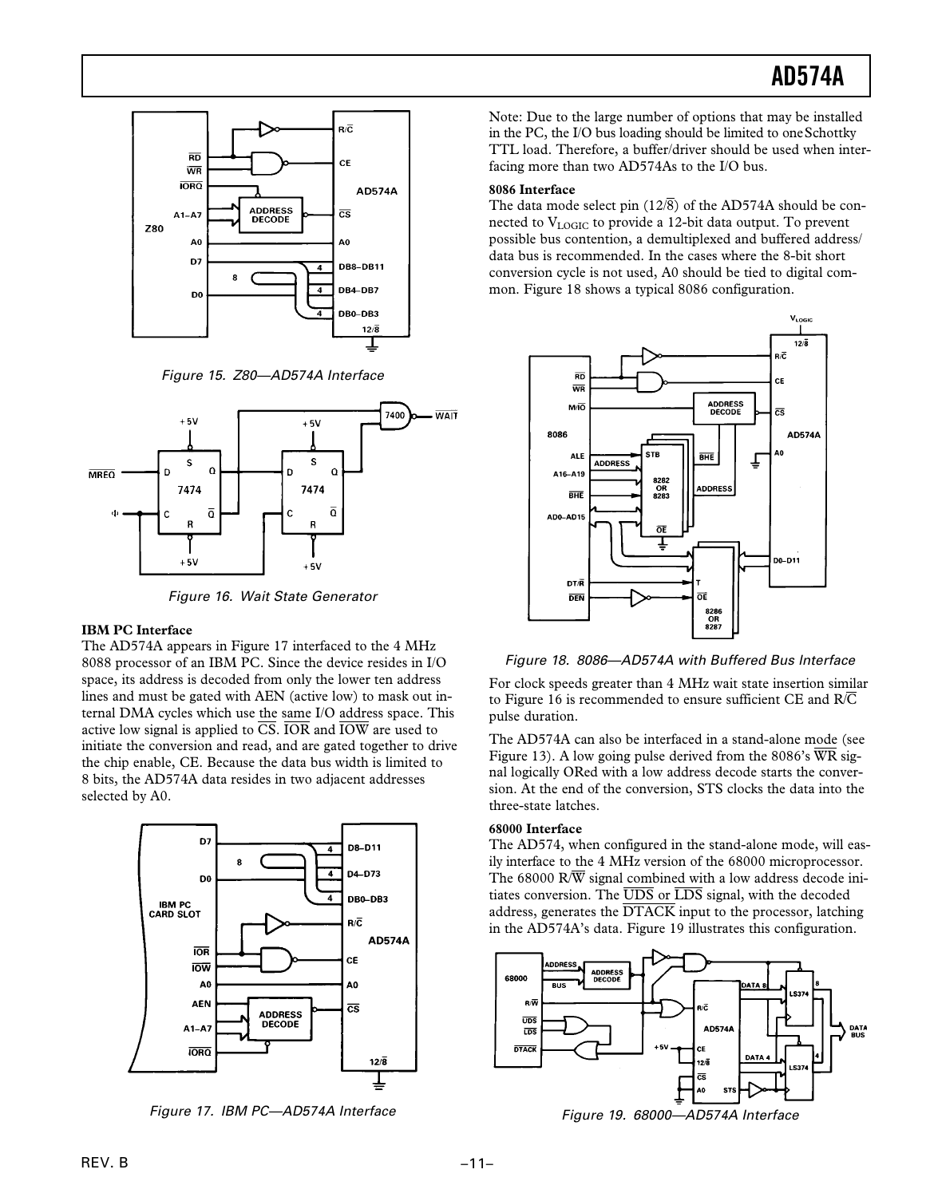

Figure 15. Z80—AD574A Interface



Figure 16. Wait State Generator

### **IBM PC Interface**

The AD574A appears in Figure 17 interfaced to the 4 MHz 8088 processor of an IBM PC. Since the device resides in I/O space, its address is decoded from only the lower ten address lines and must be gated with AEN (active low) to mask out internal DMA cycles which use the same I/O address space. This active low signal is applied to  $\overline{CS}$ . IOR and  $\overline{IOW}$  are used to initiate the conversion and read, and are gated together to drive the chip enable, CE. Because the data bus width is limited to 8 bits, the AD574A data resides in two adjacent addresses selected by A0.



Figure 17. IBM PC—AD574A Interface

Note: Due to the large number of options that may be installed in the PC, the I/O bus loading should be limited to one Schottky TTL load. Therefore, a buffer/driver should be used when interfacing more than two AD574As to the I/O bus.

### **8086 Interface**

The data mode select pin  $(12\sqrt{8})$  of the AD574A should be connected to  $V_{\text{LOGIC}}$  to provide a 12-bit data output. To prevent possible bus contention, a demultiplexed and buffered address/ data bus is recommended. In the cases where the 8-bit short conversion cycle is not used, A0 should be tied to digital common. Figure 18 shows a typical 8086 configuration.



Figure 18. 8086—AD574A with Buffered Bus lnterface

For clock speeds greater than 4 MHz wait state insertion similar to Figure 16 is recommended to ensure sufficient CE and  $R/\overline{C}$ pulse duration.

The AD574A can also be interfaced in a stand-alone mode (see Figure 13). A low going pulse derived from the 8086's  $\overline{WR}$  signal logically ORed with a low address decode starts the conversion. At the end of the conversion, STS clocks the data into the three-state latches.

### **68000 Interface**

The AD574, when configured in the stand-alone mode, will easily interface to the 4 MHz version of the 68000 microprocessor. The 68000 R/ $\overline{W}$  signal combined with a low address decode initiates conversion. The  $\overline{\text{UDS}}$  or  $\overline{\text{LDS}}$  signal, with the decoded address, generates the  $\overline{DTACK}$  input to the processor, latching in the AD574A's data. Figure 19 illustrates this configuration.



Figure 19. 68000—AD574A Interface